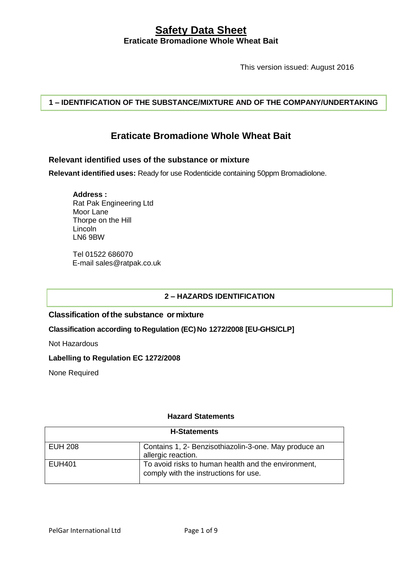This version issued: August 2016

**1 – IDENTIFICATION OF THE SUBSTANCE/MIXTURE AND OF THE COMPANY/UNDERTAKING**

# **Eraticate Bromadione Whole Wheat Bait**

## **Relevant identified uses of the substance or mixture**

**Relevant identified uses:** Ready for use Rodenticide containing 50ppm Bromadiolone.

**Address :** Rat Pak Engineering Ltd Moor Lane Thorpe on the Hill Lincoln LN6 9BW

Tel 01522 686070 E-mail sales@ratpak.co.uk

## **2 – HAZARDS IDENTIFICATION**

### **Classification ofthe substance or mixture**

**Classification according toRegulation (EC)No 1272/2008 [EU-GHS/CLP]**

Not Hazardous

#### **Labelling to Regulation EC 1272/2008**

None Required

### **Hazard Statements**

| <b>H-Statements</b> |                                                                                              |  |
|---------------------|----------------------------------------------------------------------------------------------|--|
| EUH 208             | Contains 1, 2- Benzisothiazolin-3-one. May produce an<br>allergic reaction.                  |  |
| EUH401              | To avoid risks to human health and the environment,<br>comply with the instructions for use. |  |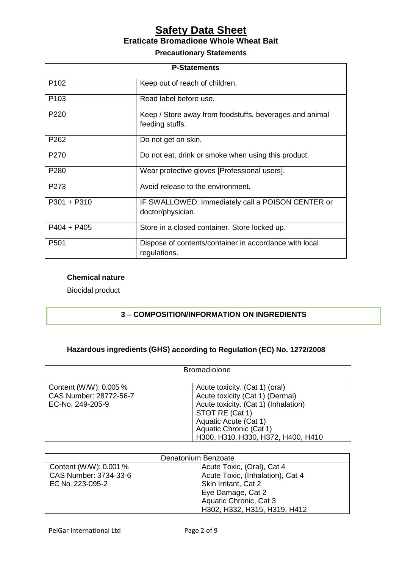#### **Precautionary Statements**

| <b>P-Statements</b> |                                                                            |  |
|---------------------|----------------------------------------------------------------------------|--|
| P <sub>102</sub>    | Keep out of reach of children.                                             |  |
| P <sub>103</sub>    | Read label before use.                                                     |  |
| P <sub>220</sub>    | Keep / Store away from foodstuffs, beverages and animal<br>feeding stuffs. |  |
| P <sub>262</sub>    | Do not get on skin.                                                        |  |
| P <sub>270</sub>    | Do not eat, drink or smoke when using this product.                        |  |
| P280                | Wear protective gloves [Professional users].                               |  |
| P273                | Avoid release to the environment.                                          |  |
| $P301 + P310$       | IF SWALLOWED: Immediately call a POISON CENTER or<br>doctor/physician.     |  |
| $P404 + P405$       | Store in a closed container. Store locked up.                              |  |
| P501                | Dispose of contents/container in accordance with local<br>regulations.     |  |

## **Chemical nature**

Biocidal product

# **3 – COMPOSITION/INFORMATION ON INGREDIENTS**

# **Hazardous ingredients (GHS) according to Regulation (EC) No. 1272/2008**

| <b>Bromadiolone</b>                                                 |                                                                                                                                                                                                                        |  |
|---------------------------------------------------------------------|------------------------------------------------------------------------------------------------------------------------------------------------------------------------------------------------------------------------|--|
| Content (WW): 0.005 %<br>CAS Number: 28772-56-7<br>EC-No. 249-205-9 | Acute toxicity. (Cat 1) (oral)<br>Acute toxicity (Cat 1) (Dermal)<br>Acute toxicity. (Cat 1) (Inhalation)<br>STOT RE (Cat 1)<br>Aquatic Acute (Cat 1)<br>Aquatic Chronic (Cat 1)<br>H300, H310, H330, H372, H400, H410 |  |

| Denatonium Benzoate    |                                  |  |
|------------------------|----------------------------------|--|
| Content (W/W): 0.001 % | Acute Toxic, (Oral), Cat 4       |  |
| CAS Number: 3734-33-6  | Acute Toxic, (Inhalation), Cat 4 |  |
| EC No. 223-095-2       | Skin Irritant, Cat 2             |  |
|                        | Eye Damage, Cat 2                |  |
|                        | Aquatic Chronic, Cat 3           |  |
|                        | H302, H332, H315, H319, H412     |  |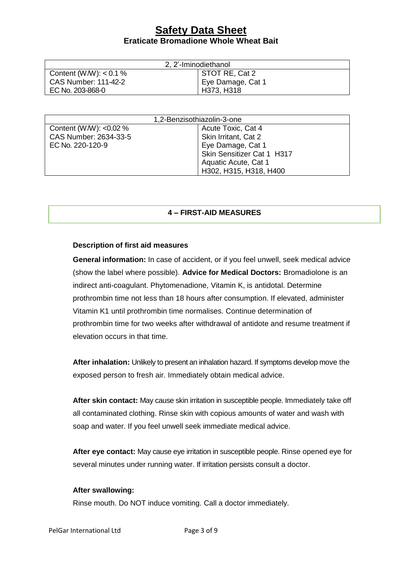| 2, 2'-Iminodiethanol        |                   |  |  |
|-----------------------------|-------------------|--|--|
| Content (W/W): $< 0.1 \%$   | STOT RE, Cat 2    |  |  |
| <b>CAS Number: 111-42-2</b> | Eye Damage, Cat 1 |  |  |
| EC No. 203-868-0            | H373, H318        |  |  |

| 1,2-Benzisothiazolin-3-one |                            |  |
|----------------------------|----------------------------|--|
| Content (W/W): < $0.02\%$  | Acute Toxic, Cat 4         |  |
| CAS Number: 2634-33-5      | Skin Irritant, Cat 2       |  |
| EC No. 220-120-9           | Eye Damage, Cat 1          |  |
|                            | Skin Sensitizer Cat 1 H317 |  |
|                            | Aquatic Acute, Cat 1       |  |
|                            | H302, H315, H318, H400     |  |

### **4 – FIRST-AID MEASURES**

#### **Description of first aid measures**

**General information:** In case of accident, or if you feel unwell, seek medical advice (show the label where possible). **Advice for Medical Doctors:** Bromadiolone is an indirect anti-coagulant. Phytomenadione, Vitamin K, is antidotal. Determine prothrombin time not less than 18 hours after consumption. If elevated, administer Vitamin K1 until prothrombin time normalises. Continue determination of prothrombin time for two weeks after withdrawal of antidote and resume treatment if elevation occurs in that time.

**After inhalation:** Unlikely to present an inhalation hazard. If symptoms develop move the exposed person to fresh air. Immediately obtain medical advice.

**After skin contact:** May cause skin irritation in susceptible people. Immediately take off all contaminated clothing. Rinse skin with copious amounts of water and wash with soap and water. If you feel unwell seek immediate medical advice.

**After eye contact:** May cause eye irritation in susceptible people. Rinse opened eye for several minutes under running water. If irritation persists consult a doctor.

#### **After swallowing:**

Rinse mouth. Do NOT induce vomiting. Call a doctor immediately.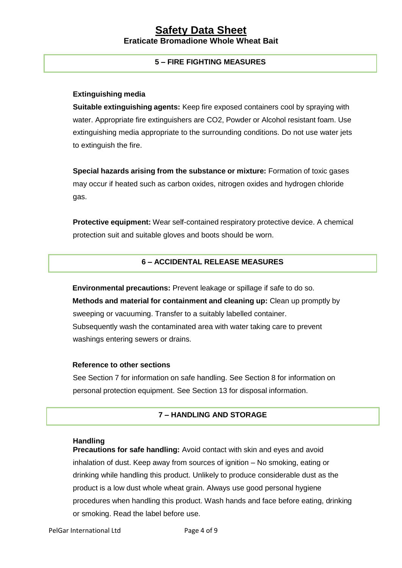## **5 – FIRE FIGHTING MEASURES**

#### **Extinguishing media**

**Suitable extinguishing agents:** Keep fire exposed containers cool by spraying with water. Appropriate fire extinguishers are CO2, Powder or Alcohol resistant foam. Use extinguishing media appropriate to the surrounding conditions. Do not use water jets to extinguish the fire.

**Special hazards arising from the substance or mixture:** Formation of toxic gases may occur if heated such as carbon oxides, nitrogen oxides and hydrogen chloride gas.

**Protective equipment:** Wear self-contained respiratory protective device. A chemical protection suit and suitable gloves and boots should be worn.

# **6 – ACCIDENTAL RELEASE MEASURES**

**Environmental precautions:** Prevent leakage or spillage if safe to do so. **Methods and material for containment and cleaning up:** Clean up promptly by sweeping or vacuuming. Transfer to a suitably labelled container. Subsequently wash the contaminated area with water taking care to prevent washings entering sewers or drains.

#### **Reference to other sections**

See Section 7 for information on safe handling. See Section 8 for information on personal protection equipment. See Section 13 for disposal information.

#### **7 – HANDLING AND STORAGE**

#### **Handling**

**Precautions for safe handling:** Avoid contact with skin and eyes and avoid inhalation of dust. Keep away from sources of ignition – No smoking, eating or drinking while handling this product. Unlikely to produce considerable dust as the product is a low dust whole wheat grain. Always use good personal hygiene procedures when handling this product. Wash hands and face before eating, drinking or smoking. Read the label before use.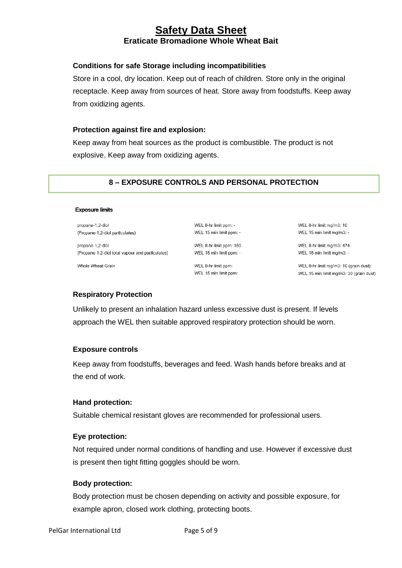### **Conditions for safe Storage including incompatibilities**

Store in a cool, dry location. Keep out of reach of children. Store only in the original receptacle. Keep away from sources of heat. Store away from foodstuffs. Keep away from oxidizing agents.

#### **Protection against fire and explosion:**

Keep away from heat sources as the product is combustible. The product is not explosive. Keep away from oxidizing agents.

## **8 – EXPOSURE CONTROLS AND PERSONAL PROTECTION**

#### **Exposure limits**

propane-1,2-diol (Propane-1,2-diol particulates)

propane-1,2-diol (Propane-1,2-diol total vapour and particulates)

Whole Wheat Grain

WEL 8-hr limit ppm: -WEL 15 min limit ppm: -

WEL 8-hr limit ppm: 150 WEL 15 min limit ppm: -

WEL 8-hr limit ppm: WEL 15 min limit ppm:

WEL 8-hr limit mg/m3: 10 WEL 15 min limit mg/m3: -

WEL 8-hr limit mg/m3: 474 WEL 15 min limit mg/m3: -

WEL 8-hr limit mg/m3: 10 (grain dust) WEL 15 min limit mg/m3: 30 (grain dust)

### **Respiratory Protection**

Unlikely to present an inhalation hazard unless excessive dust is present. If levels approach the WEL then suitable approved respiratory protection should be worn.

### **Exposure controls**

Keep away from foodstuffs, beverages and feed. Wash hands before breaks and at the end of work.

#### **Hand protection:**

Suitable chemical resistant gloves are recommended for professional users.

### **Eye protection:**

Not required under normal conditions of handling and use. However if excessive dust is present then tight fitting goggles should be worn.

### **Body protection:**

Body protection must be chosen depending on activity and possible exposure, for example apron, closed work clothing, protecting boots.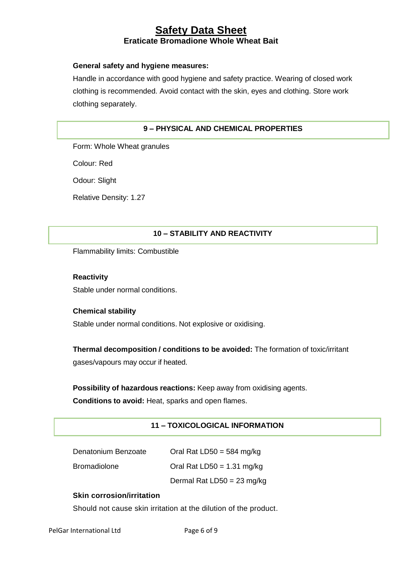## **General safety and hygiene measures:**

Handle in accordance with good hygiene and safety practice. Wearing of closed work clothing is recommended. Avoid contact with the skin, eyes and clothing. Store work clothing separately.

# **9 – PHYSICAL AND CHEMICAL PROPERTIES**

Form: Whole Wheat granules

Colour: Red

Odour: Slight

Relative Density: 1.27

# **10 – STABILITY AND REACTIVITY**

Flammability limits: Combustible

**Reactivity** Stable under normal conditions.

# **Chemical stability**

Stable under normal conditions. Not explosive or oxidising.

**Thermal decomposition / conditions to be avoided:** The formation of toxic/irritant gases/vapours may occur if heated.

**Possibility of hazardous reactions:** Keep away from oxidising agents.

**Conditions to avoid:** Heat, sparks and open flames.

# **11 – TOXICOLOGICAL INFORMATION**

| Denatonium Benzoate | Oral Rat LD50 = $584 \text{ mg/kg}$ |
|---------------------|-------------------------------------|
| <b>Bromadiolone</b> | Oral Rat LD50 = $1.31$ mg/kg        |
|                     | Dermal Rat $LD50 = 23$ mg/kg        |

# **Skin corrosion/irritation**

Should not cause skin irritation at the dilution of the product.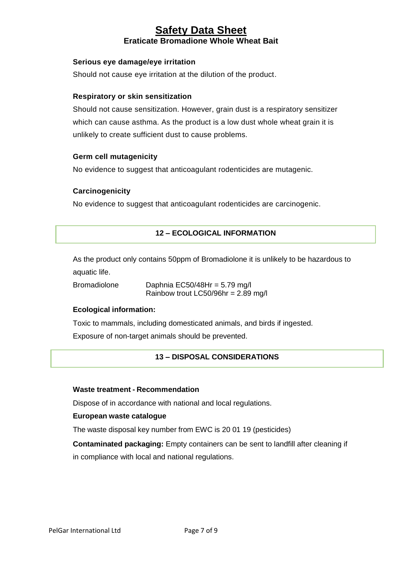## **Serious eye damage/eye irritation**

Should not cause eye irritation at the dilution of the product.

#### **Respiratory or skin sensitization**

Should not cause sensitization. However, grain dust is a respiratory sensitizer which can cause asthma. As the product is a low dust whole wheat grain it is unlikely to create sufficient dust to cause problems.

#### **Germ cell mutagenicity**

No evidence to suggest that anticoagulant rodenticides are mutagenic.

#### **Carcinogenicity**

No evidence to suggest that anticoagulant rodenticides are carcinogenic.

## **12 – ECOLOGICAL INFORMATION**

As the product only contains 50ppm of Bromadiolone it is unlikely to be hazardous to aquatic life.

Bromadiolone Daphnia EC50/48Hr = 5.79 mg/l Rainbow trout LC50/96hr = 2.89 mg/l

### **Ecological information:**

Toxic to mammals, including domesticated animals, and birds if ingested.

Exposure of non-target animals should be prevented.

### **13 – DISPOSAL CONSIDERATIONS**

#### **Waste treatment - Recommendation**

Dispose of in accordance with national and local regulations.

#### **European waste catalogue**

The waste disposal key number from EWC is 20 01 19 (pesticides)

**Contaminated packaging:** Empty containers can be sent to landfill after cleaning if in compliance with local and national regulations.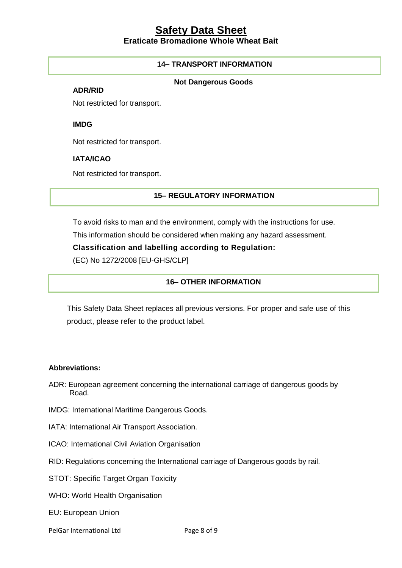# **14– TRANSPORT INFORMATION**

#### **Not Dangerous Goods**

**ADR/RID**

Not restricted for transport.

**IMDG**

Not restricted for transport.

#### **IATA/ICAO**

Not restricted for transport.

## **15– REGULATORY INFORMATION**

To avoid risks to man and the environment, comply with the instructions for use.

This information should be considered when making any hazard assessment.

**Classification and labelling according to Regulation:** 

(EC) No 1272/2008 [EU-GHS/CLP]

## **16– OTHER INFORMATION**

This Safety Data Sheet replaces all previous versions. For proper and safe use of this product, please refer to the product label.

#### **Abbreviations:**

- ADR: European agreement concerning the international carriage of dangerous goods by Road.
- IMDG: International Maritime Dangerous Goods.
- IATA: International Air Transport Association.
- ICAO: International Civil Aviation Organisation
- RID: Regulations concerning the International carriage of Dangerous goods by rail.
- STOT: Specific Target Organ Toxicity
- WHO: World Health Organisation
- EU: European Union
- PelGar International Ltd Page 8 of 9